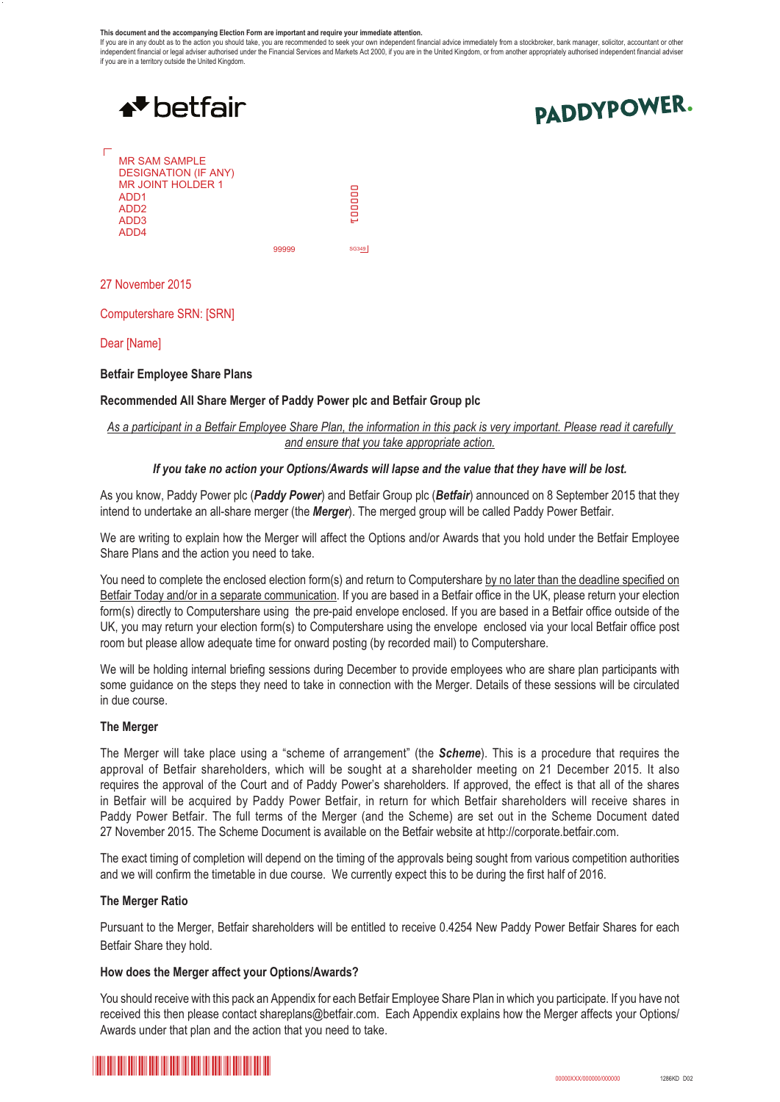#### **This document and the accompanying Election Form are important and require your immediate attention.**

If you are in any doubt as to the action you should take, you are recommended to seek your own independent financial advice immediately from a stockbroker, bank manager, solicitor, accountant or other<br>independent financial if you are in a territory outside the United Kingdom.



Dear [Name]

**Betfair Employee Share Plans**

#### **Recommended All Share Merger of Paddy Power plc and Betfair Group plc**

# *As a participant in a Betfair Employee Share Plan, the information in this pack is very important. Please read it carefully and ensure that you take appropriate action.*

#### *If you take no action your Options/Awards will lapse and the value that they have will be lost.*

As you know, Paddy Power plc (*Paddy Power*) and Betfair Group plc (*Betfair*) announced on 8 September 2015 that they intend to undertake an all-share merger (the *Merger*). The merged group will be called Paddy Power Betfair.

We are writing to explain how the Merger will affect the Options and/or Awards that you hold under the Betfair Employee Share Plans and the action you need to take.

You need to complete the enclosed election form(s) and return to Computershare by no later than the deadline specified on Betfair Today and/or in a separate communication. If you are based in a Betfair office in the UK, please return your election form(s) directly to Computershare using the pre-paid envelope enclosed. If you are based in a Betfair office outside of the UK, you may return your election form(s) to Computershare using the envelope enclosed via your local Betfair office post room but please allow adequate time for onward posting (by recorded mail) to Computershare.

We will be holding internal briefing sessions during December to provide employees who are share plan participants with some guidance on the steps they need to take in connection with the Merger. Details of these sessions will be circulated in due course.

#### **The Merger**

The Merger will take place using a "scheme of arrangement" (the *Scheme*). This is a procedure that requires the approval of Betfair shareholders, which will be sought at a shareholder meeting on 21 December 2015. It also requires the approval of the Court and of Paddy Power's shareholders. If approved, the effect is that all of the shares in Betfair will be acquired by Paddy Power Betfair, in return for which Betfair shareholders will receive shares in Paddy Power Betfair. The full terms of the Merger (and the Scheme) are set out in the Scheme Document dated 27 November 2015. The Scheme Document is available on the Betfair website at http://corporate.betfair.com.

The exact timing of completion will depend on the timing of the approvals being sought from various competition authorities and we will confirm the timetable in due course. We currently expect this to be during the first half of 2016.

#### **The Merger Ratio**

Pursuant to the Merger, Betfair shareholders will be entitled to receive 0.4254 New Paddy Power Betfair Shares for each Betfair Share they hold.

#### **How does the Merger affect your Options/Awards?**

You should receive with this pack an Appendix for each Betfair Employee Share Plan in which you participate. If you have not received this then please contact shareplans@betfair.com. Each Appendix explains how the Merger affects your Options/ Awards under that plan and the action that you need to take.